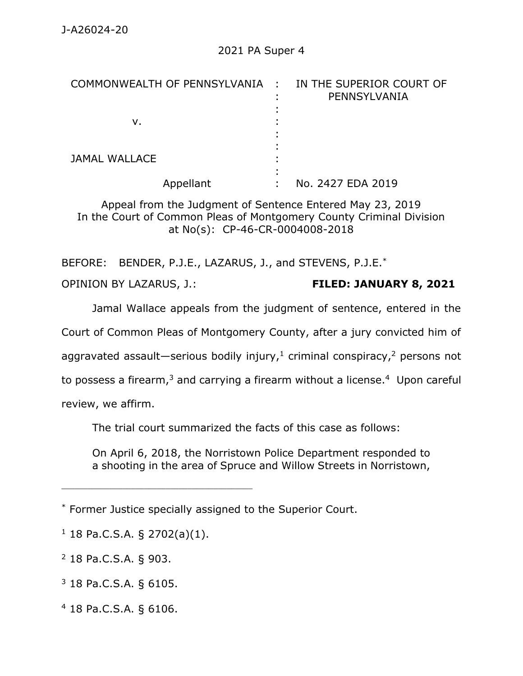| COMMONWEALTH OF PENNSYLVANIA : IN THE SUPERIOR COURT OF | PENNSYLVANIA      |
|---------------------------------------------------------|-------------------|
| ν.                                                      |                   |
| JAMAL WALLACE                                           |                   |
| Appellant                                               | No. 2427 EDA 2019 |

Appeal from the Judgment of Sentence Entered May 23, 2019 In the Court of Common Pleas of Montgomery County Criminal Division at No(s): CP-46-CR-0004008-2018

BEFORE: BENDER, P.J.E., LAZARUS, J., and STEVENS, P.J.E.\*

OPINION BY LAZARUS, J.: **FILED: JANUARY 8, 2021**

Jamal Wallace appeals from the judgment of sentence, entered in the

Court of Common Pleas of Montgomery County, after a jury convicted him of

aggravated assault—serious bodily injury,<sup>1</sup> criminal conspiracy,<sup>2</sup> persons not

to possess a firearm,<sup>3</sup> and carrying a firearm without a license.<sup>4</sup> Upon careful

review, we affirm.

The trial court summarized the facts of this case as follows:

On April 6, 2018, the Norristown Police Department responded to a shooting in the area of Spruce and Willow Streets in Norristown,

 $1$  18 Pa.C.S.A. § 2702(a)(1).

\_\_\_\_\_\_\_\_\_\_\_\_\_\_\_\_\_\_\_\_\_\_\_\_\_\_\_\_\_\_\_\_\_\_\_\_\_\_\_\_\_\_\_\_

<sup>2</sup> 18 Pa.C.S.A. § 903.

<sup>3</sup> 18 Pa.C.S.A. § 6105.

<sup>4</sup> 18 Pa.C.S.A. § 6106.

<sup>\*</sup> Former Justice specially assigned to the Superior Court.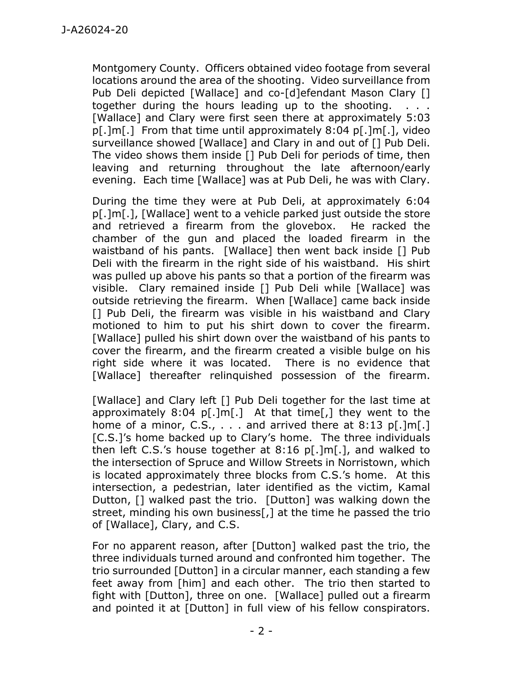Montgomery County. Officers obtained video footage from several locations around the area of the shooting. Video surveillance from Pub Deli depicted [Wallace] and co-[d]efendant Mason Clary [] together during the hours leading up to the shooting. . . . [Wallace] and Clary were first seen there at approximately 5:03 p[.]m[.] From that time until approximately 8:04 p[.]m[.], video surveillance showed [Wallace] and Clary in and out of [] Pub Deli. The video shows them inside [] Pub Deli for periods of time, then leaving and returning throughout the late afternoon/early evening. Each time [Wallace] was at Pub Deli, he was with Clary.

During the time they were at Pub Deli, at approximately 6:04 p[.]m[.], [Wallace] went to a vehicle parked just outside the store and retrieved a firearm from the glovebox. He racked the chamber of the gun and placed the loaded firearm in the waistband of his pants. [Wallace] then went back inside [] Pub Deli with the firearm in the right side of his waistband. His shirt was pulled up above his pants so that a portion of the firearm was visible. Clary remained inside [] Pub Deli while [Wallace] was outside retrieving the firearm. When [Wallace] came back inside [1] Pub Deli, the firearm was visible in his waistband and Clary motioned to him to put his shirt down to cover the firearm. [Wallace] pulled his shirt down over the waistband of his pants to cover the firearm, and the firearm created a visible bulge on his right side where it was located. There is no evidence that [Wallace] thereafter relinquished possession of the firearm.

[Wallace] and Clary left [] Pub Deli together for the last time at approximately  $8:04$  p[.]m[.] At that time[,] they went to the home of a minor, C.S.,  $\ldots$  and arrived there at 8:13 p[.]m[.] [C.S.]'s home backed up to Clary's home. The three individuals then left C.S.'s house together at 8:16 p[.]m[.], and walked to the intersection of Spruce and Willow Streets in Norristown, which is located approximately three blocks from C.S.'s home. At this intersection, a pedestrian, later identified as the victim, Kamal Dutton, [] walked past the trio. [Dutton] was walking down the street, minding his own business[,] at the time he passed the trio of [Wallace], Clary, and C.S.

For no apparent reason, after [Dutton] walked past the trio, the three individuals turned around and confronted him together. The trio surrounded [Dutton] in a circular manner, each standing a few feet away from [him] and each other. The trio then started to fight with [Dutton], three on one. [Wallace] pulled out a firearm and pointed it at [Dutton] in full view of his fellow conspirators.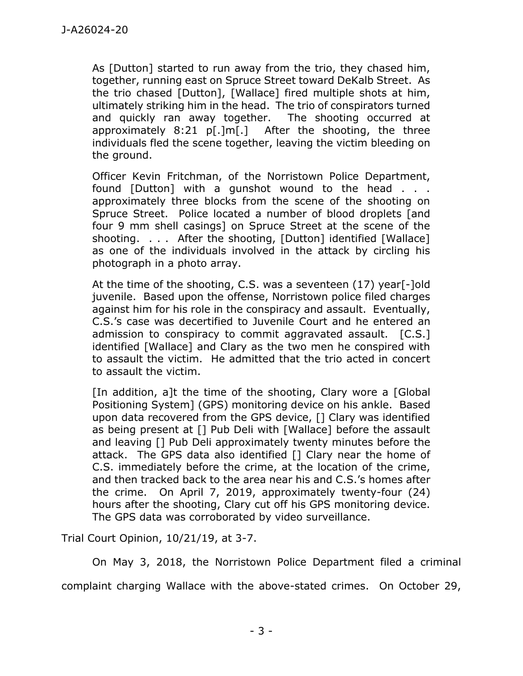As [Dutton] started to run away from the trio, they chased him, together, running east on Spruce Street toward DeKalb Street. As the trio chased [Dutton], [Wallace] fired multiple shots at him, ultimately striking him in the head. The trio of conspirators turned and quickly ran away together. The shooting occurred at approximately 8:21 p[.]m[.] After the shooting, the three individuals fled the scene together, leaving the victim bleeding on the ground.

Officer Kevin Fritchman, of the Norristown Police Department, found [Dutton] with a gunshot wound to the head . . . approximately three blocks from the scene of the shooting on Spruce Street. Police located a number of blood droplets [and four 9 mm shell casings] on Spruce Street at the scene of the shooting. . . . After the shooting, [Dutton] identified [Wallace] as one of the individuals involved in the attack by circling his photograph in a photo array.

At the time of the shooting, C.S. was a seventeen (17) year[-]old juvenile. Based upon the offense, Norristown police filed charges against him for his role in the conspiracy and assault. Eventually, C.S.'s case was decertified to Juvenile Court and he entered an admission to conspiracy to commit aggravated assault. [C.S.] identified [Wallace] and Clary as the two men he conspired with to assault the victim. He admitted that the trio acted in concert to assault the victim.

[In addition, a]t the time of the shooting, Clary wore a [Global Positioning System] (GPS) monitoring device on his ankle. Based upon data recovered from the GPS device, [] Clary was identified as being present at [] Pub Deli with [Wallace] before the assault and leaving [] Pub Deli approximately twenty minutes before the attack. The GPS data also identified [] Clary near the home of C.S. immediately before the crime, at the location of the crime, and then tracked back to the area near his and C.S.'s homes after the crime. On April 7, 2019, approximately twenty-four (24) hours after the shooting, Clary cut off his GPS monitoring device. The GPS data was corroborated by video surveillance.

Trial Court Opinion, 10/21/19, at 3-7.

On May 3, 2018, the Norristown Police Department filed a criminal complaint charging Wallace with the above-stated crimes. On October 29,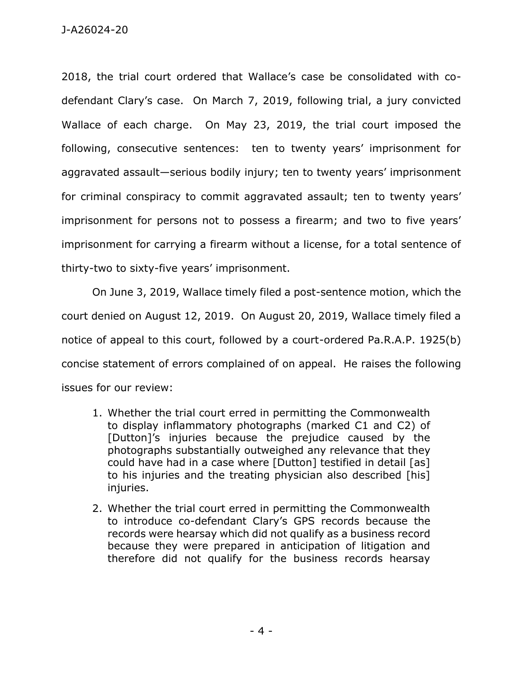2018, the trial court ordered that Wallace's case be consolidated with codefendant Clary's case. On March 7, 2019, following trial, a jury convicted Wallace of each charge. On May 23, 2019, the trial court imposed the following, consecutive sentences: ten to twenty years' imprisonment for aggravated assault—serious bodily injury; ten to twenty years' imprisonment for criminal conspiracy to commit aggravated assault; ten to twenty years' imprisonment for persons not to possess a firearm; and two to five years' imprisonment for carrying a firearm without a license, for a total sentence of thirty-two to sixty-five years' imprisonment.

On June 3, 2019, Wallace timely filed a post-sentence motion, which the court denied on August 12, 2019. On August 20, 2019, Wallace timely filed a notice of appeal to this court, followed by a court-ordered Pa.R.A.P. 1925(b) concise statement of errors complained of on appeal. He raises the following issues for our review:

- 1. Whether the trial court erred in permitting the Commonwealth to display inflammatory photographs (marked C1 and C2) of [Dutton]'s injuries because the prejudice caused by the photographs substantially outweighed any relevance that they could have had in a case where [Dutton] testified in detail [as] to his injuries and the treating physician also described [his] injuries.
- 2. Whether the trial court erred in permitting the Commonwealth to introduce co-defendant Clary's GPS records because the records were hearsay which did not qualify as a business record because they were prepared in anticipation of litigation and therefore did not qualify for the business records hearsay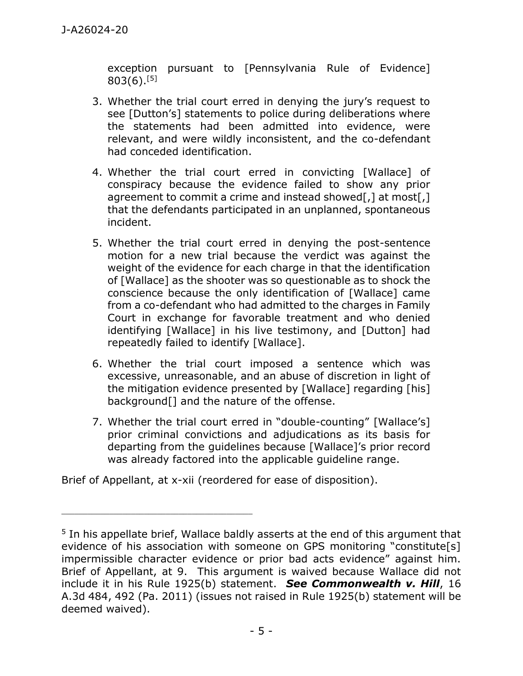exception pursuant to [Pennsylvania Rule of Evidence]  $803(6).$ [5]

- 3. Whether the trial court erred in denying the jury's request to see [Dutton's] statements to police during deliberations where the statements had been admitted into evidence, were relevant, and were wildly inconsistent, and the co-defendant had conceded identification.
- 4. Whether the trial court erred in convicting [Wallace] of conspiracy because the evidence failed to show any prior agreement to commit a crime and instead showed[,] at most[,] that the defendants participated in an unplanned, spontaneous incident.
- 5. Whether the trial court erred in denying the post-sentence motion for a new trial because the verdict was against the weight of the evidence for each charge in that the identification of [Wallace] as the shooter was so questionable as to shock the conscience because the only identification of [Wallace] came from a co-defendant who had admitted to the charges in Family Court in exchange for favorable treatment and who denied identifying [Wallace] in his live testimony, and [Dutton] had repeatedly failed to identify [Wallace].
- 6. Whether the trial court imposed a sentence which was excessive, unreasonable, and an abuse of discretion in light of the mitigation evidence presented by [Wallace] regarding [his] background[] and the nature of the offense.
- 7. Whether the trial court erred in "double-counting" [Wallace's] prior criminal convictions and adjudications as its basis for departing from the guidelines because [Wallace]'s prior record was already factored into the applicable guideline range.

Brief of Appellant, at x-xii (reordered for ease of disposition).

\_\_\_\_\_\_\_\_\_\_\_\_\_\_\_\_\_\_\_\_\_\_\_\_\_\_\_\_\_\_\_\_\_\_\_\_\_\_\_\_\_\_\_\_

<sup>&</sup>lt;sup>5</sup> In his appellate brief, Wallace baldly asserts at the end of this argument that evidence of his association with someone on GPS monitoring "constitute[s] impermissible character evidence or prior bad acts evidence" against him. Brief of Appellant, at 9. This argument is waived because Wallace did not include it in his Rule 1925(b) statement. *See Commonwealth v. Hill*, 16 A.3d 484, 492 (Pa. 2011) (issues not raised in Rule 1925(b) statement will be deemed waived).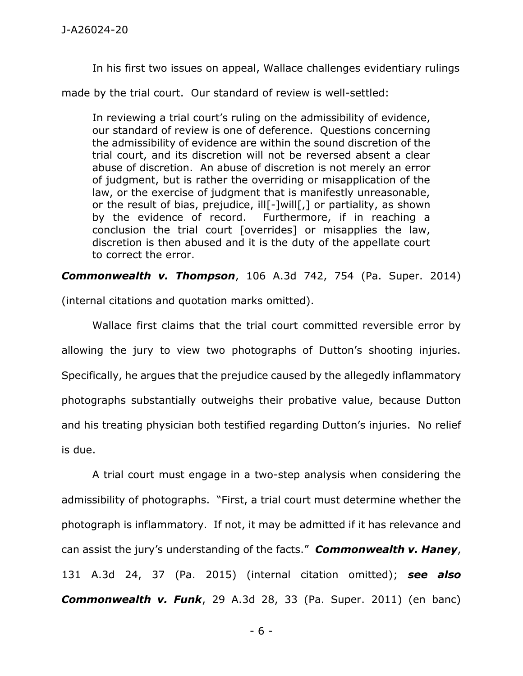In his first two issues on appeal, Wallace challenges evidentiary rulings

made by the trial court. Our standard of review is well-settled:

In reviewing a trial court's ruling on the admissibility of evidence, our standard of review is one of deference. Questions concerning the admissibility of evidence are within the sound discretion of the trial court, and its discretion will not be reversed absent a clear abuse of discretion. An abuse of discretion is not merely an error of judgment, but is rather the overriding or misapplication of the law, or the exercise of judgment that is manifestly unreasonable, or the result of bias, prejudice, ill[-]will[,] or partiality, as shown by the evidence of record. Furthermore, if in reaching a conclusion the trial court [overrides] or misapplies the law, discretion is then abused and it is the duty of the appellate court to correct the error.

*Commonwealth v. Thompson*, 106 A.3d 742, 754 (Pa. Super. 2014)

(internal citations and quotation marks omitted).

Wallace first claims that the trial court committed reversible error by allowing the jury to view two photographs of Dutton's shooting injuries. Specifically, he argues that the prejudice caused by the allegedly inflammatory photographs substantially outweighs their probative value, because Dutton and his treating physician both testified regarding Dutton's injuries. No relief is due.

A trial court must engage in a two-step analysis when considering the admissibility of photographs. "First, a trial court must determine whether the photograph is inflammatory. If not, it may be admitted if it has relevance and can assist the jury's understanding of the facts." *Commonwealth v. Haney*, 131 A.3d 24, 37 (Pa. 2015) (internal citation omitted); *see also Commonwealth v. Funk*, 29 A.3d 28, 33 (Pa. Super. 2011) (en banc)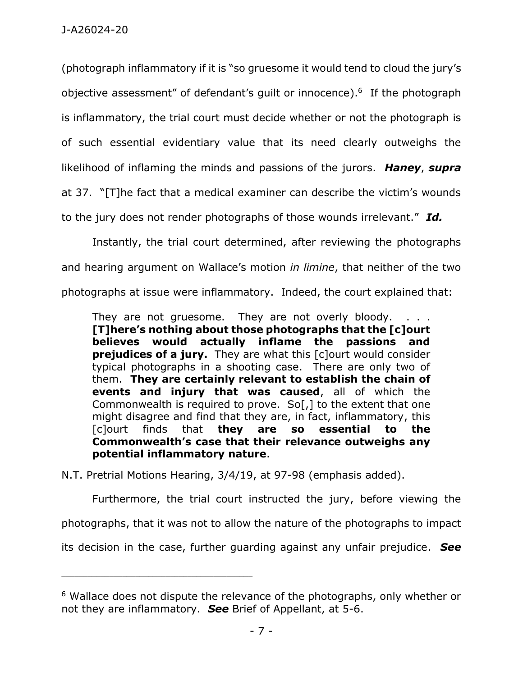(photograph inflammatory if it is "so gruesome it would tend to cloud the jury's objective assessment" of defendant's guilt or innocence).<sup>6</sup> If the photograph is inflammatory, the trial court must decide whether or not the photograph is of such essential evidentiary value that its need clearly outweighs the likelihood of inflaming the minds and passions of the jurors. *Haney*, *supra*  at 37. "[T]he fact that a medical examiner can describe the victim's wounds to the jury does not render photographs of those wounds irrelevant." *Id.* 

Instantly, the trial court determined, after reviewing the photographs and hearing argument on Wallace's motion *in limine*, that neither of the two photographs at issue were inflammatory. Indeed, the court explained that:

They are not gruesome. They are not overly bloody. **[T]here's nothing about those photographs that the [c]ourt believes would actually inflame the passions and prejudices of a jury.** They are what this [c]ourt would consider typical photographs in a shooting case. There are only two of them. **They are certainly relevant to establish the chain of events and injury that was caused**, all of which the Commonwealth is required to prove. So[,] to the extent that one might disagree and find that they are, in fact, inflammatory, this [c]ourt finds that **they are so essential to the Commonwealth's case that their relevance outweighs any potential inflammatory nature**.

N.T. Pretrial Motions Hearing, 3/4/19, at 97-98 (emphasis added).

\_\_\_\_\_\_\_\_\_\_\_\_\_\_\_\_\_\_\_\_\_\_\_\_\_\_\_\_\_\_\_\_\_\_\_\_\_\_\_\_\_\_\_\_

Furthermore, the trial court instructed the jury, before viewing the photographs, that it was not to allow the nature of the photographs to impact its decision in the case, further guarding against any unfair prejudice. *See* 

<sup>6</sup> Wallace does not dispute the relevance of the photographs, only whether or not they are inflammatory. *See* Brief of Appellant, at 5-6.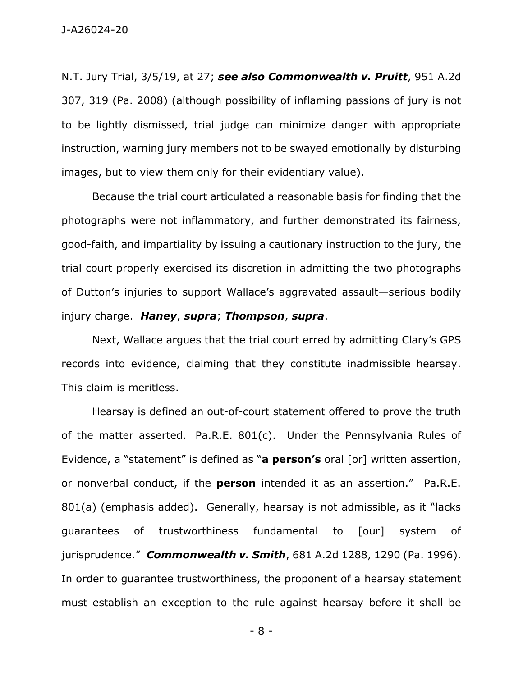N.T. Jury Trial, 3/5/19, at 27; *see also Commonwealth v. Pruitt*, 951 A.2d 307, 319 (Pa. 2008) (although possibility of inflaming passions of jury is not to be lightly dismissed, trial judge can minimize danger with appropriate instruction, warning jury members not to be swayed emotionally by disturbing images, but to view them only for their evidentiary value).

Because the trial court articulated a reasonable basis for finding that the photographs were not inflammatory, and further demonstrated its fairness, good-faith, and impartiality by issuing a cautionary instruction to the jury, the trial court properly exercised its discretion in admitting the two photographs of Dutton's injuries to support Wallace's aggravated assault—serious bodily injury charge. *Haney*, *supra*; *Thompson*, *supra*.

Next, Wallace argues that the trial court erred by admitting Clary's GPS records into evidence, claiming that they constitute inadmissible hearsay. This claim is meritless.

Hearsay is defined an out-of-court statement offered to prove the truth of the matter asserted. Pa.R.E. 801(c). Under the Pennsylvania Rules of Evidence, a "statement" is defined as "**a person's** oral [or] written assertion, or nonverbal conduct, if the **person** intended it as an assertion." Pa.R.E. 801(a) (emphasis added). Generally, hearsay is not admissible, as it "lacks guarantees of trustworthiness fundamental to [our] system of jurisprudence." *Commonwealth v. Smith*, 681 A.2d 1288, 1290 (Pa. 1996). In order to guarantee trustworthiness, the proponent of a hearsay statement must establish an exception to the rule against hearsay before it shall be

- 8 -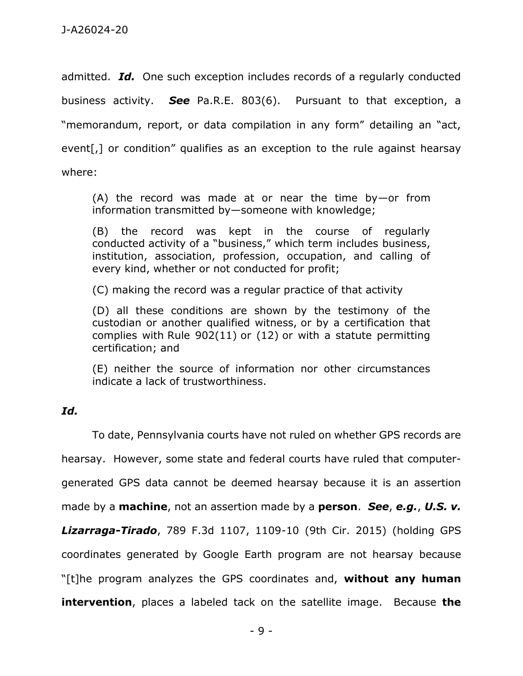admitted. *Id.* One such exception includes records of a regularly conducted business activity. *See* Pa.R.E. 803(6). Pursuant to that exception, a "memorandum, report, or data compilation in any form" detailing an "act, event[,] or condition" qualifies as an exception to the rule against hearsay where:

(A) the record was made at or near the time by-or from information transmitted by—someone with knowledge;

(B) the record was kept in the course of regularly conducted activity of a "business," which term includes business, institution, association, profession, occupation, and calling of every kind, whether or not conducted for profit;

(C) making the record was a regular practice of that activity

(D) all these conditions are shown by the testimony of the custodian or another qualified witness, or by a certification that complies with Rule 902(11) or (12) or with a statute permitting certification; and

(E) neither the source of information nor other circumstances indicate a lack of trustworthiness.

## *Id.*

To date, Pennsylvania courts have not ruled on whether GPS records are hearsay. However, some state and federal courts have ruled that computergenerated GPS data cannot be deemed hearsay because it is an assertion made by a **machine**, not an assertion made by a **person**. *See*, *e.g.*, *U.S. v. Lizarraga-Tirado*, 789 F.3d 1107, 1109-10 (9th Cir. 2015) (holding GPS coordinates generated by Google Earth program are not hearsay because "[t]he program analyzes the GPS coordinates and, **without any human intervention**, places a labeled tack on the satellite image. Because **the**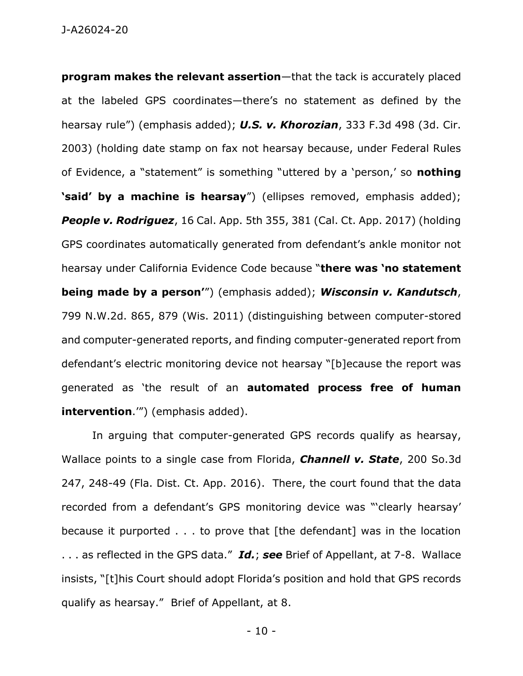J-A26024-20

**program makes the relevant assertion**—that the tack is accurately placed at the labeled GPS coordinates—there's no statement as defined by the hearsay rule") (emphasis added); *U.S. v. Khorozian*, 333 F.3d 498 (3d. Cir. 2003) (holding date stamp on fax not hearsay because, under Federal Rules of Evidence, a "statement" is something "uttered by a 'person,' so **nothing 'said' by a machine is hearsay**") (ellipses removed, emphasis added); *People v. Rodriguez*, 16 Cal. App. 5th 355, 381 (Cal. Ct. App. 2017) (holding GPS coordinates automatically generated from defendant's ankle monitor not hearsay under California Evidence Code because "**there was 'no statement being made by a person'**") (emphasis added); *Wisconsin v. Kandutsch*, 799 N.W.2d. 865, 879 (Wis. 2011) (distinguishing between computer-stored and computer-generated reports, and finding computer-generated report from defendant's electric monitoring device not hearsay "[b]ecause the report was generated as 'the result of an **automated process free of human intervention**.'") (emphasis added).

In arguing that computer-generated GPS records qualify as hearsay, Wallace points to a single case from Florida, *Channell v. State*, 200 So.3d 247, 248-49 (Fla. Dist. Ct. App. 2016). There, the court found that the data recorded from a defendant's GPS monitoring device was "'clearly hearsay' because it purported . . . to prove that [the defendant] was in the location . . . as reflected in the GPS data." *Id.*; *see* Brief of Appellant, at 7-8. Wallace insists, "[t]his Court should adopt Florida's position and hold that GPS records qualify as hearsay." Brief of Appellant, at 8.

- 10 -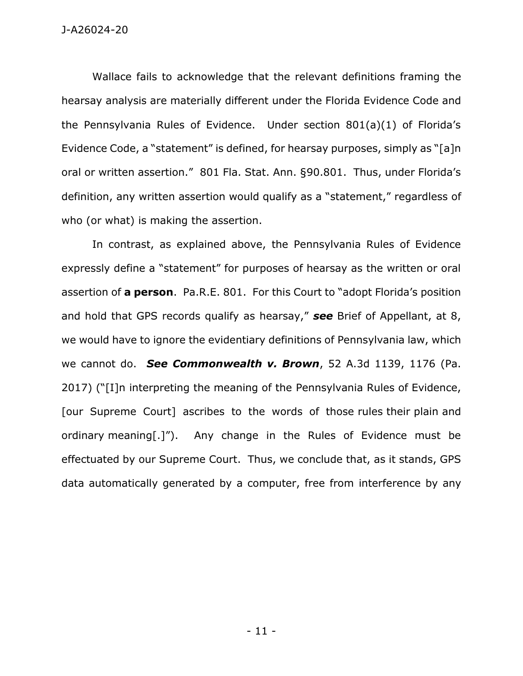Wallace fails to acknowledge that the relevant definitions framing the hearsay analysis are materially different under the Florida Evidence Code and the Pennsylvania Rules of Evidence. Under section 801(a)(1) of Florida's Evidence Code, a "statement" is defined, for hearsay purposes, simply as "[a]n oral or written assertion." 801 Fla. Stat. Ann. §90.801. Thus, under Florida's definition, any written assertion would qualify as a "statement," regardless of who (or what) is making the assertion.

In contrast, as explained above, the Pennsylvania Rules of Evidence expressly define a "statement" for purposes of hearsay as the written or oral assertion of **a person**. Pa.R.E. 801. For this Court to "adopt Florida's position and hold that GPS records qualify as hearsay," *see* Brief of Appellant, at 8, we would have to ignore the evidentiary definitions of Pennsylvania law, which we cannot do. *See Commonwealth v. Brown*, 52 A.3d 1139, 1176 (Pa. 2017) ("[I]n interpreting the meaning of the Pennsylvania Rules of Evidence, [our Supreme Court] ascribes to the words of those rules their plain and ordinary meaning[.]"). Any change in the Rules of Evidence must be effectuated by our Supreme Court. Thus, we conclude that, as it stands, GPS data automatically generated by a computer, free from interference by any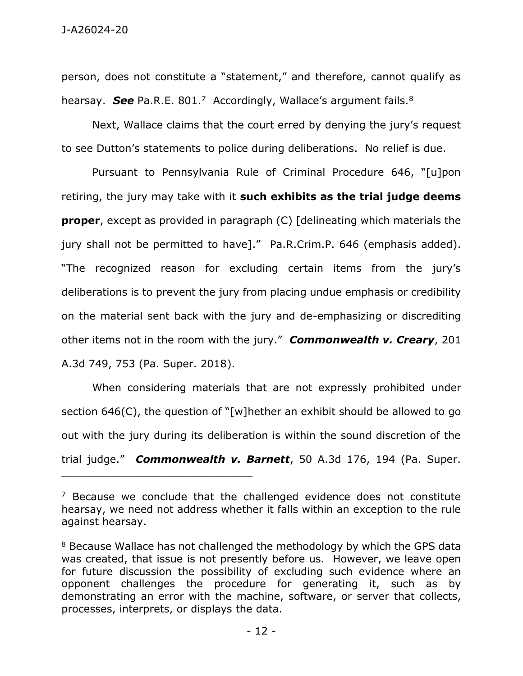person, does not constitute a "statement," and therefore, cannot qualify as hearsay. See Pa.R.E. 801.<sup>7</sup> Accordingly, Wallace's argument fails.<sup>8</sup>

Next, Wallace claims that the court erred by denying the jury's request to see Dutton's statements to police during deliberations. No relief is due.

Pursuant to Pennsylvania Rule of Criminal Procedure 646, "[u]pon retiring, the jury may take with it **such exhibits as the trial judge deems proper**, except as provided in paragraph (C) [delineating which materials the jury shall not be permitted to have]." Pa.R.Crim.P. 646 (emphasis added). "The recognized reason for excluding certain items from the jury's deliberations is to prevent the jury from placing undue emphasis or credibility on the material sent back with the jury and de-emphasizing or discrediting other items not in the room with the jury." *Commonwealth v. Creary*, 201 A.3d 749, 753 (Pa. Super. 2018).

When considering materials that are not expressly prohibited under section 646(C), the question of "[w]hether an exhibit should be allowed to go out with the jury during its deliberation is within the sound discretion of the trial judge." *Commonwealth v. Barnett*, 50 A.3d 176, 194 (Pa. Super.

\_\_\_\_\_\_\_\_\_\_\_\_\_\_\_\_\_\_\_\_\_\_\_\_\_\_\_\_\_\_\_\_\_\_\_\_\_\_\_\_\_\_\_\_

 $7$  Because we conclude that the challenged evidence does not constitute hearsay, we need not address whether it falls within an exception to the rule against hearsay.

<sup>&</sup>lt;sup>8</sup> Because Wallace has not challenged the methodology by which the GPS data was created, that issue is not presently before us. However, we leave open for future discussion the possibility of excluding such evidence where an opponent challenges the procedure for generating it, such as by demonstrating an error with the machine, software, or server that collects, processes, interprets, or displays the data.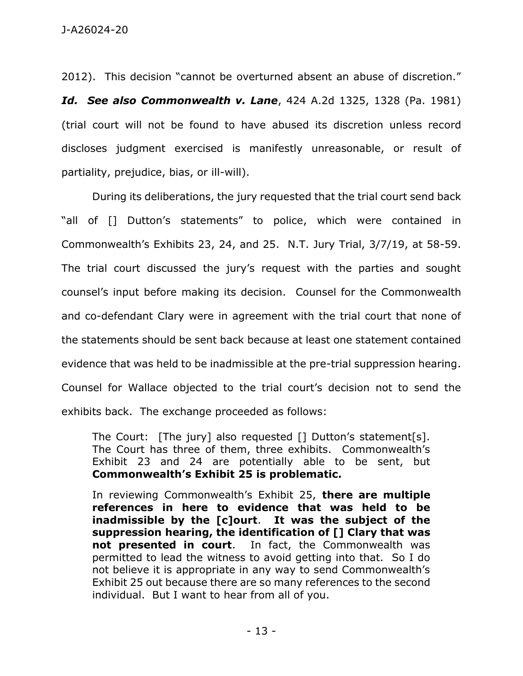2012). This decision "cannot be overturned absent an abuse of discretion."

*Id. See also Commonwealth v. Lane*, 424 A.2d 1325, 1328 (Pa. 1981) (trial court will not be found to have abused its discretion unless record discloses judgment exercised is manifestly unreasonable, or result of partiality, prejudice, bias, or ill-will).

During its deliberations, the jury requested that the trial court send back "all of [] Dutton's statements" to police, which were contained in Commonwealth's Exhibits 23, 24, and 25. N.T. Jury Trial, 3/7/19, at 58-59. The trial court discussed the jury's request with the parties and sought counsel's input before making its decision. Counsel for the Commonwealth and co-defendant Clary were in agreement with the trial court that none of the statements should be sent back because at least one statement contained evidence that was held to be inadmissible at the pre-trial suppression hearing. Counsel for Wallace objected to the trial court's decision not to send the exhibits back. The exchange proceeded as follows:

The Court: [The jury] also requested [] Dutton's statement[s]. The Court has three of them, three exhibits. Commonwealth's Exhibit 23 and 24 are potentially able to be sent, but **Commonwealth's Exhibit 25 is problematic.**

In reviewing Commonwealth's Exhibit 25, **there are multiple references in here to evidence that was held to be inadmissible by the [c]ourt**. **It was the subject of the suppression hearing, the identification of [] Clary that was not presented in court**. In fact, the Commonwealth was permitted to lead the witness to avoid getting into that. So I do not believe it is appropriate in any way to send Commonwealth's Exhibit 25 out because there are so many references to the second individual. But I want to hear from all of you.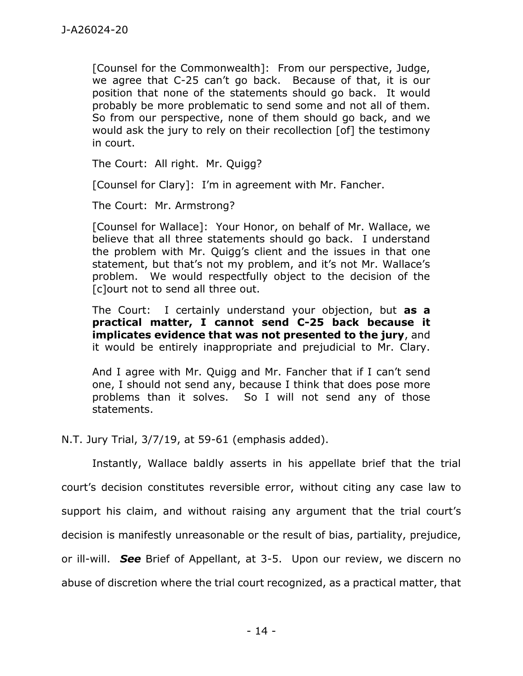[Counsel for the Commonwealth]: From our perspective, Judge, we agree that C-25 can't go back. Because of that, it is our position that none of the statements should go back. It would probably be more problematic to send some and not all of them. So from our perspective, none of them should go back, and we would ask the jury to rely on their recollection [of] the testimony in court.

The Court: All right. Mr. Quigg?

[Counsel for Clary]: I'm in agreement with Mr. Fancher.

The Court: Mr. Armstrong?

[Counsel for Wallace]: Your Honor, on behalf of Mr. Wallace, we believe that all three statements should go back. I understand the problem with Mr. Quigg's client and the issues in that one statement, but that's not my problem, and it's not Mr. Wallace's problem. We would respectfully object to the decision of the [c]ourt not to send all three out.

The Court: I certainly understand your objection, but **as a practical matter, I cannot send C-25 back because it implicates evidence that was not presented to the jury**, and it would be entirely inappropriate and prejudicial to Mr. Clary.

And I agree with Mr. Quigg and Mr. Fancher that if I can't send one, I should not send any, because I think that does pose more problems than it solves. So I will not send any of those statements.

N.T. Jury Trial, 3/7/19, at 59-61 (emphasis added).

Instantly, Wallace baldly asserts in his appellate brief that the trial court's decision constitutes reversible error, without citing any case law to support his claim, and without raising any argument that the trial court's decision is manifestly unreasonable or the result of bias, partiality, prejudice, or ill-will. *See* Brief of Appellant, at 3-5. Upon our review, we discern no abuse of discretion where the trial court recognized, as a practical matter, that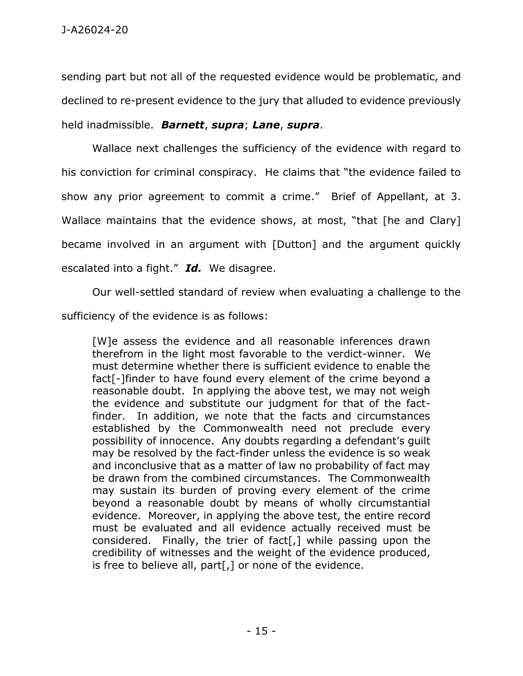sending part but not all of the requested evidence would be problematic, and declined to re-present evidence to the jury that alluded to evidence previously held inadmissible. *Barnett*, *supra*; *Lane*, *supra*.

Wallace next challenges the sufficiency of the evidence with regard to his conviction for criminal conspiracy. He claims that "the evidence failed to show any prior agreement to commit a crime." Brief of Appellant, at 3. Wallace maintains that the evidence shows, at most, "that [he and Clary] became involved in an argument with [Dutton] and the argument quickly escalated into a fight." *Id.* We disagree.

Our well-settled standard of review when evaluating a challenge to the sufficiency of the evidence is as follows:

[W]e assess the evidence and all reasonable inferences drawn therefrom in the light most favorable to the verdict-winner. We must determine whether there is sufficient evidence to enable the fact[-]finder to have found every element of the crime beyond a reasonable doubt. In applying the above test, we may not weigh the evidence and substitute our judgment for that of the factfinder. In addition, we note that the facts and circumstances established by the Commonwealth need not preclude every possibility of innocence. Any doubts regarding a defendant's guilt may be resolved by the fact-finder unless the evidence is so weak and inconclusive that as a matter of law no probability of fact may be drawn from the combined circumstances. The Commonwealth may sustain its burden of proving every element of the crime beyond a reasonable doubt by means of wholly circumstantial evidence. Moreover, in applying the above test, the entire record must be evaluated and all evidence actually received must be considered. Finally, the trier of fact[,] while passing upon the credibility of witnesses and the weight of the evidence produced, is free to believe all, part[,] or none of the evidence.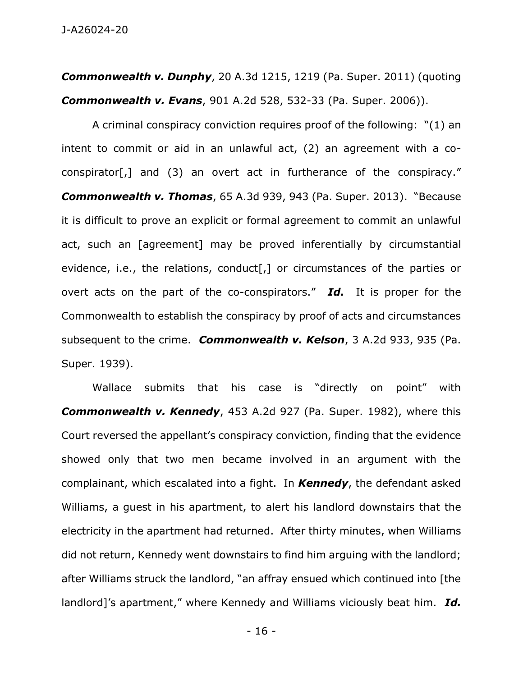J-A26024-20

*Commonwealth v. Dunphy*, 20 A.3d 1215, 1219 (Pa. Super. 2011) (quoting *Commonwealth v. Evans*, 901 A.2d 528, 532-33 (Pa. Super. 2006)).

A criminal conspiracy conviction requires proof of the following: "(1) an intent to commit or aid in an unlawful act, (2) an agreement with a coconspirator[,] and (3) an overt act in furtherance of the conspiracy." *Commonwealth v. Thomas*, 65 A.3d 939, 943 (Pa. Super. 2013). "Because it is difficult to prove an explicit or formal agreement to commit an unlawful act, such an [agreement] may be proved inferentially by circumstantial evidence, i.e., the relations, conduct<sup>[</sup>,] or circumstances of the parties or overt acts on the part of the co-conspirators." *Id.* It is proper for the Commonwealth to establish the conspiracy by proof of acts and circumstances subsequent to the crime. *Commonwealth v. Kelson*, 3 A.2d 933, 935 (Pa. Super. 1939).

Wallace submits that his case is "directly on point" with *Commonwealth v. Kennedy*, 453 A.2d 927 (Pa. Super. 1982), where this Court reversed the appellant's conspiracy conviction, finding that the evidence showed only that two men became involved in an argument with the complainant, which escalated into a fight. In *Kennedy*, the defendant asked Williams, a guest in his apartment, to alert his landlord downstairs that the electricity in the apartment had returned. After thirty minutes, when Williams did not return, Kennedy went downstairs to find him arguing with the landlord; after Williams struck the landlord, "an affray ensued which continued into [the landlord]'s apartment," where Kennedy and Williams viciously beat him. *Id.* 

- 16 -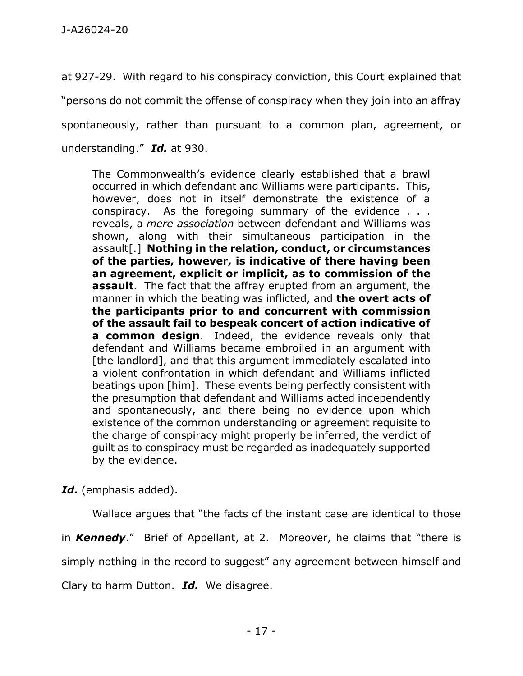at 927-29. With regard to his conspiracy conviction, this Court explained that "persons do not commit the offense of conspiracy when they join into an affray spontaneously, rather than pursuant to a common plan, agreement, or understanding." *Id.* at 930.

The Commonwealth's evidence clearly established that a brawl occurred in which defendant and Williams were participants. This, however, does not in itself demonstrate the existence of a conspiracy. As the foregoing summary of the evidence . . . reveals, a *mere association* between defendant and Williams was shown, along with their simultaneous participation in the assault[.] **Nothing in the relation, conduct, or circumstances of the parties, however, is indicative of there having been an agreement, explicit or implicit, as to commission of the assault**. The fact that the affray erupted from an argument, the manner in which the beating was inflicted, and **the overt acts of the participants prior to and concurrent with commission of the assault fail to bespeak concert of action indicative of a common design**. Indeed, the evidence reveals only that defendant and Williams became embroiled in an argument with [the landlord], and that this argument immediately escalated into a violent confrontation in which defendant and Williams inflicted beatings upon [him]. These events being perfectly consistent with the presumption that defendant and Williams acted independently and spontaneously, and there being no evidence upon which existence of the common understanding or agreement requisite to the charge of conspiracy might properly be inferred, the verdict of guilt as to conspiracy must be regarded as inadequately supported by the evidence.

*Id.* (emphasis added).

Wallace argues that "the facts of the instant case are identical to those in *Kennedy*." Brief of Appellant, at 2. Moreover, he claims that "there is simply nothing in the record to suggest" any agreement between himself and Clary to harm Dutton. *Id.* We disagree.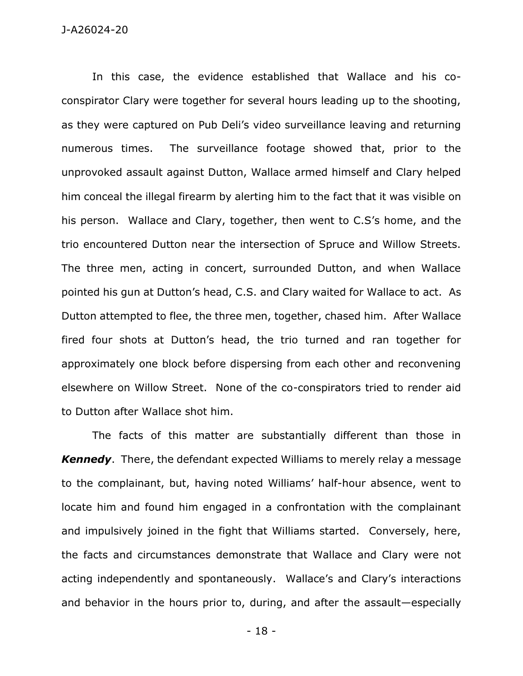In this case, the evidence established that Wallace and his coconspirator Clary were together for several hours leading up to the shooting, as they were captured on Pub Deli's video surveillance leaving and returning numerous times. The surveillance footage showed that, prior to the unprovoked assault against Dutton, Wallace armed himself and Clary helped him conceal the illegal firearm by alerting him to the fact that it was visible on his person. Wallace and Clary, together, then went to C.S's home, and the trio encountered Dutton near the intersection of Spruce and Willow Streets. The three men, acting in concert, surrounded Dutton, and when Wallace pointed his gun at Dutton's head, C.S. and Clary waited for Wallace to act. As Dutton attempted to flee, the three men, together, chased him. After Wallace fired four shots at Dutton's head, the trio turned and ran together for approximately one block before dispersing from each other and reconvening elsewhere on Willow Street. None of the co-conspirators tried to render aid to Dutton after Wallace shot him.

The facts of this matter are substantially different than those in *Kennedy*. There, the defendant expected Williams to merely relay a message to the complainant, but, having noted Williams' half-hour absence, went to locate him and found him engaged in a confrontation with the complainant and impulsively joined in the fight that Williams started. Conversely, here, the facts and circumstances demonstrate that Wallace and Clary were not acting independently and spontaneously. Wallace's and Clary's interactions and behavior in the hours prior to, during, and after the assault—especially

- 18 -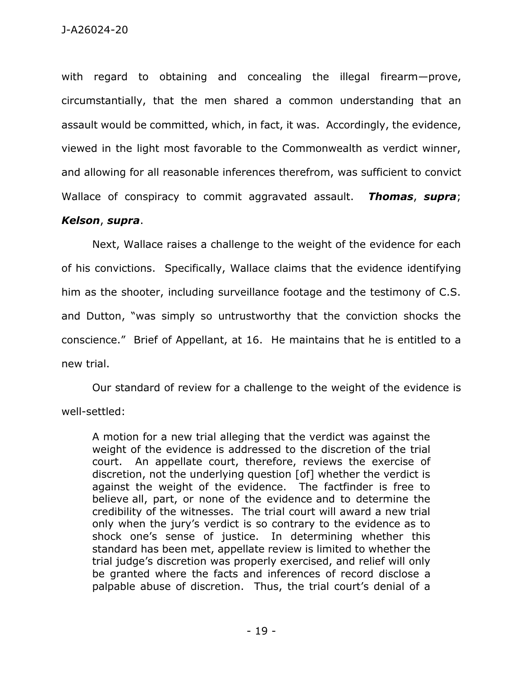with regard to obtaining and concealing the illegal firearm—prove, circumstantially, that the men shared a common understanding that an assault would be committed, which, in fact, it was. Accordingly, the evidence, viewed in the light most favorable to the Commonwealth as verdict winner, and allowing for all reasonable inferences therefrom, was sufficient to convict Wallace of conspiracy to commit aggravated assault. *Thomas*, *supra*;

## *Kelson*, *supra*.

Next, Wallace raises a challenge to the weight of the evidence for each of his convictions. Specifically, Wallace claims that the evidence identifying him as the shooter, including surveillance footage and the testimony of C.S. and Dutton, "was simply so untrustworthy that the conviction shocks the conscience." Brief of Appellant, at 16. He maintains that he is entitled to a new trial.

Our standard of review for a challenge to the weight of the evidence is well-settled:

A motion for a new trial alleging that the verdict was against the weight of the evidence is addressed to the discretion of the trial court. An appellate court, therefore, reviews the exercise of discretion, not the underlying question [of] whether the verdict is against the weight of the evidence. The factfinder is free to believe all, part, or none of the evidence and to determine the credibility of the witnesses. The trial court will award a new trial only when the jury's verdict is so contrary to the evidence as to shock one's sense of justice. In determining whether this standard has been met, appellate review is limited to whether the trial judge's discretion was properly exercised, and relief will only be granted where the facts and inferences of record disclose a palpable abuse of discretion. Thus, the trial court's denial of a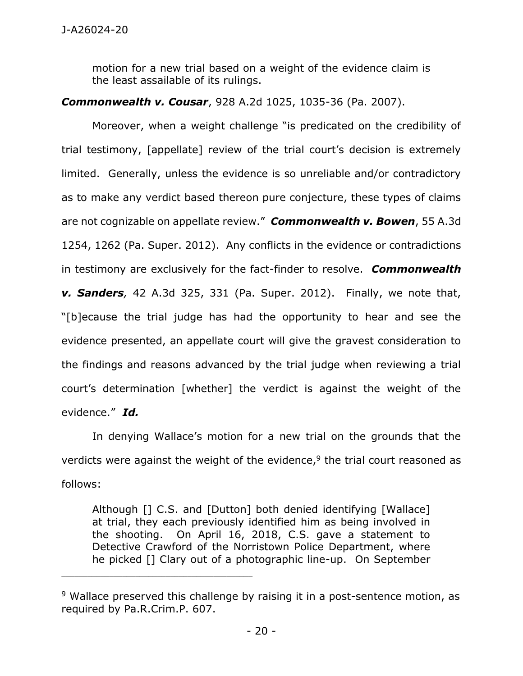motion for a new trial based on a weight of the evidence claim is the least assailable of its rulings.

## *Commonwealth v. Cousar*, 928 A.2d 1025, 1035-36 (Pa. 2007).

Moreover, when a weight challenge "is predicated on the credibility of trial testimony, [appellate] review of the trial court's decision is extremely limited. Generally, unless the evidence is so unreliable and/or contradictory as to make any verdict based thereon pure conjecture, these types of claims are not cognizable on appellate review." *Commonwealth v. Bowen*, 55 A.3d 1254, 1262 (Pa. Super. 2012). Any conflicts in the evidence or contradictions in testimony are exclusively for the fact-finder to resolve. *Commonwealth v. Sanders,* 42 A.3d 325, 331 (Pa. Super. 2012).Finally, we note that, "[b]ecause the trial judge has had the opportunity to hear and see the evidence presented, an appellate court will give the gravest consideration to the findings and reasons advanced by the trial judge when reviewing a trial court's determination [whether] the verdict is against the weight of the evidence." *Id.*

In denying Wallace's motion for a new trial on the grounds that the verdicts were against the weight of the evidence, $9$  the trial court reasoned as follows:

Although [] C.S. and [Dutton] both denied identifying [Wallace] at trial, they each previously identified him as being involved in the shooting. On April 16, 2018, C.S. gave a statement to Detective Crawford of the Norristown Police Department, where he picked [] Clary out of a photographic line-up. On September

\_\_\_\_\_\_\_\_\_\_\_\_\_\_\_\_\_\_\_\_\_\_\_\_\_\_\_\_\_\_\_\_\_\_\_\_\_\_\_\_\_\_\_\_

<sup>&</sup>lt;sup>9</sup> Wallace preserved this challenge by raising it in a post-sentence motion, as required by Pa.R.Crim.P. 607.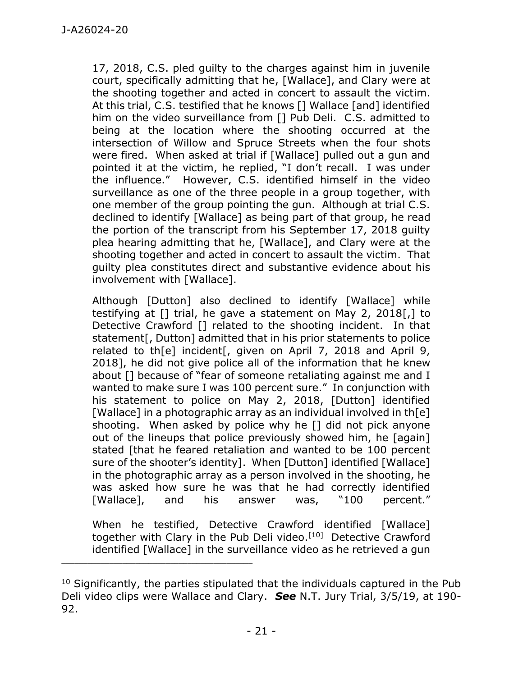17, 2018, C.S. pled guilty to the charges against him in juvenile court, specifically admitting that he, [Wallace], and Clary were at the shooting together and acted in concert to assault the victim. At this trial, C.S. testified that he knows [] Wallace [and] identified him on the video surveillance from [] Pub Deli. C.S. admitted to being at the location where the shooting occurred at the intersection of Willow and Spruce Streets when the four shots were fired. When asked at trial if [Wallace] pulled out a gun and pointed it at the victim, he replied, "I don't recall. I was under the influence." However, C.S. identified himself in the video surveillance as one of the three people in a group together, with one member of the group pointing the gun. Although at trial C.S. declined to identify [Wallace] as being part of that group, he read the portion of the transcript from his September 17, 2018 guilty plea hearing admitting that he, [Wallace], and Clary were at the shooting together and acted in concert to assault the victim. That guilty plea constitutes direct and substantive evidence about his involvement with [Wallace].

Although [Dutton] also declined to identify [Wallace] while testifying at [] trial, he gave a statement on May 2, 2018[,] to Detective Crawford [] related to the shooting incident. In that statement[, Dutton] admitted that in his prior statements to police related to th[e] incident[, given on April 7, 2018 and April 9, 2018], he did not give police all of the information that he knew about [] because of "fear of someone retaliating against me and I wanted to make sure I was 100 percent sure." In conjunction with his statement to police on May 2, 2018, [Dutton] identified [Wallace] in a photographic array as an individual involved in th[e] shooting. When asked by police why he [] did not pick anyone out of the lineups that police previously showed him, he [again] stated [that he feared retaliation and wanted to be 100 percent sure of the shooter's identity]. When [Dutton] identified [Wallace] in the photographic array as a person involved in the shooting, he was asked how sure he was that he had correctly identified [Wallace], and his answer was, "100 percent."

When he testified, Detective Crawford identified [Wallace] together with Clary in the Pub Deli video.<sup>[10]</sup> Detective Crawford identified [Wallace] in the surveillance video as he retrieved a gun

\_\_\_\_\_\_\_\_\_\_\_\_\_\_\_\_\_\_\_\_\_\_\_\_\_\_\_\_\_\_\_\_\_\_\_\_\_\_\_\_\_\_\_\_

 $10$  Significantly, the parties stipulated that the individuals captured in the Pub Deli video clips were Wallace and Clary. *See* N.T. Jury Trial, 3/5/19, at 190- 92.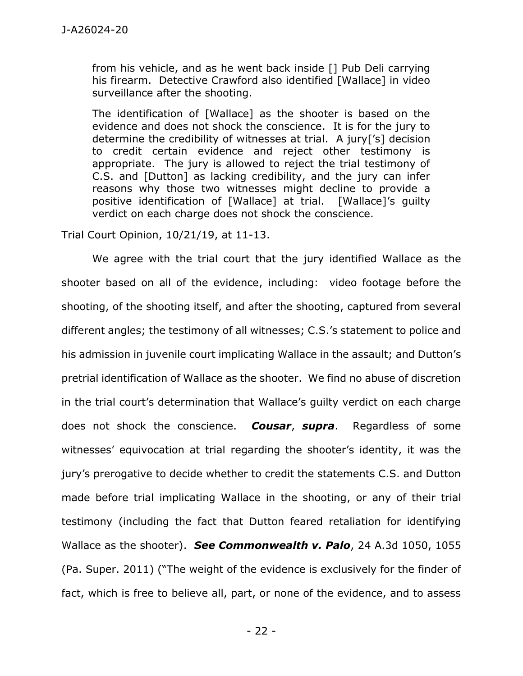from his vehicle, and as he went back inside [] Pub Deli carrying his firearm. Detective Crawford also identified [Wallace] in video surveillance after the shooting.

The identification of [Wallace] as the shooter is based on the evidence and does not shock the conscience. It is for the jury to determine the credibility of witnesses at trial. A jury['s] decision to credit certain evidence and reject other testimony is appropriate. The jury is allowed to reject the trial testimony of C.S. and [Dutton] as lacking credibility, and the jury can infer reasons why those two witnesses might decline to provide a positive identification of [Wallace] at trial. [Wallace]'s guilty verdict on each charge does not shock the conscience.

Trial Court Opinion, 10/21/19, at 11-13.

We agree with the trial court that the jury identified Wallace as the shooter based on all of the evidence, including: video footage before the shooting, of the shooting itself, and after the shooting, captured from several different angles; the testimony of all witnesses; C.S.'s statement to police and his admission in juvenile court implicating Wallace in the assault; and Dutton's pretrial identification of Wallace as the shooter. We find no abuse of discretion in the trial court's determination that Wallace's guilty verdict on each charge does not shock the conscience. *Cousar*, *supra*.Regardless of some witnesses' equivocation at trial regarding the shooter's identity, it was the jury's prerogative to decide whether to credit the statements C.S. and Dutton made before trial implicating Wallace in the shooting, or any of their trial testimony (including the fact that Dutton feared retaliation for identifying Wallace as the shooter). *See Commonwealth v. Palo*, 24 A.3d 1050, 1055 (Pa. Super. 2011) ("The weight of the evidence is exclusively for the finder of fact, which is free to believe all, part, or none of the evidence, and to assess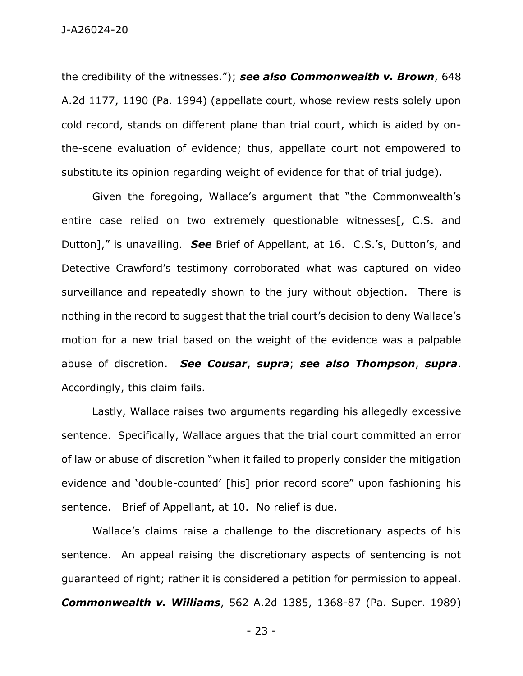the credibility of the witnesses."); *see also Commonwealth v. Brown*, 648 A.2d 1177, 1190 (Pa. 1994) (appellate court, whose review rests solely upon cold record, stands on different plane than trial court, which is aided by onthe-scene evaluation of evidence; thus, appellate court not empowered to substitute its opinion regarding weight of evidence for that of trial judge).

Given the foregoing, Wallace's argument that "the Commonwealth's entire case relied on two extremely questionable witnesses[, C.S. and Dutton]," is unavailing. *See* Brief of Appellant, at 16. C.S.'s, Dutton's, and Detective Crawford's testimony corroborated what was captured on video surveillance and repeatedly shown to the jury without objection. There is nothing in the record to suggest that the trial court's decision to deny Wallace's motion for a new trial based on the weight of the evidence was a palpable abuse of discretion. *See Cousar*, *supra*; *see also Thompson*, *supra*. Accordingly, this claim fails.

Lastly, Wallace raises two arguments regarding his allegedly excessive sentence. Specifically, Wallace argues that the trial court committed an error of law or abuse of discretion "when it failed to properly consider the mitigation evidence and 'double-counted' [his] prior record score" upon fashioning his sentence. Brief of Appellant, at 10. No relief is due.

Wallace's claims raise a challenge to the discretionary aspects of his sentence. An appeal raising the discretionary aspects of sentencing is not guaranteed of right; rather it is considered a petition for permission to appeal. *Commonwealth v. Williams*, 562 A.2d 1385, 1368-87 (Pa. Super. 1989)

- 23 -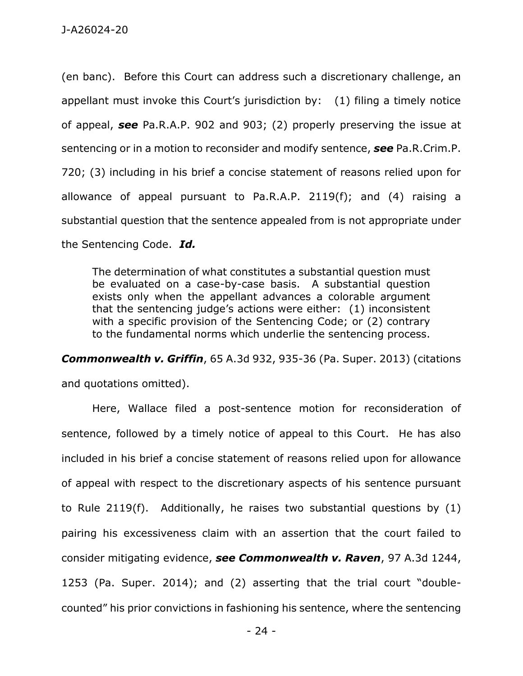(en banc). Before this Court can address such a discretionary challenge, an appellant must invoke this Court's jurisdiction by: (1) filing a timely notice of appeal, *see* Pa.R.A.P. 902 and 903; (2) properly preserving the issue at sentencing or in a motion to reconsider and modify sentence, *see* Pa.R.Crim.P. 720; (3) including in his brief a concise statement of reasons relied upon for allowance of appeal pursuant to Pa.R.A.P. 2119(f); and (4) raising a substantial question that the sentence appealed from is not appropriate under the Sentencing Code. *Id.*

The determination of what constitutes a substantial question must be evaluated on a case-by-case basis. A substantial question exists only when the appellant advances a colorable argument that the sentencing judge's actions were either: (1) inconsistent with a specific provision of the Sentencing Code; or (2) contrary to the fundamental norms which underlie the sentencing process.

*Commonwealth v. Griffin*, 65 A.3d 932, 935-36 (Pa. Super. 2013) (citations and quotations omitted).

Here, Wallace filed a post-sentence motion for reconsideration of sentence, followed by a timely notice of appeal to this Court. He has also included in his brief a concise statement of reasons relied upon for allowance of appeal with respect to the discretionary aspects of his sentence pursuant to Rule 2119(f). Additionally, he raises two substantial questions by (1) pairing his excessiveness claim with an assertion that the court failed to consider mitigating evidence, *see Commonwealth v. Raven*, 97 A.3d 1244, 1253 (Pa. Super. 2014); and (2) asserting that the trial court "doublecounted" his prior convictions in fashioning his sentence, where the sentencing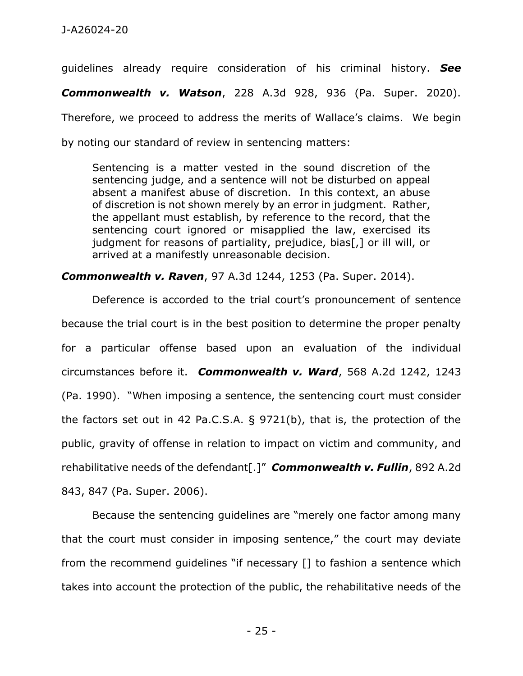guidelines already require consideration of his criminal history. *See Commonwealth v. Watson*, 228 A.3d 928, 936 (Pa. Super. 2020). Therefore, we proceed to address the merits of Wallace's claims. We begin by noting our standard of review in sentencing matters:

Sentencing is a matter vested in the sound discretion of the sentencing judge, and a sentence will not be disturbed on appeal absent a manifest abuse of discretion. In this context, an abuse of discretion is not shown merely by an error in judgment. Rather, the appellant must establish, by reference to the record, that the sentencing court ignored or misapplied the law, exercised its judgment for reasons of partiality, prejudice, bias[,] or ill will, or arrived at a manifestly unreasonable decision.

## *Commonwealth v. Raven*, 97 A.3d 1244, 1253 (Pa. Super. 2014).

Deference is accorded to the trial court's pronouncement of sentence because the trial court is in the best position to determine the proper penalty for a particular offense based upon an evaluation of the individual circumstances before it. *Commonwealth v. Ward*, 568 A.2d 1242, 1243 (Pa. 1990). "When imposing a sentence, the sentencing court must consider the factors set out in 42 Pa.C.S.A. § 9721(b), that is, the protection of the public, gravity of offense in relation to impact on victim and community, and rehabilitative needs of the defendant[.]" *Commonwealth v. Fullin*, 892 A.2d 843, 847 (Pa. Super. 2006).

Because the sentencing guidelines are "merely one factor among many that the court must consider in imposing sentence," the court may deviate from the recommend guidelines "if necessary [] to fashion a sentence which takes into account the protection of the public, the rehabilitative needs of the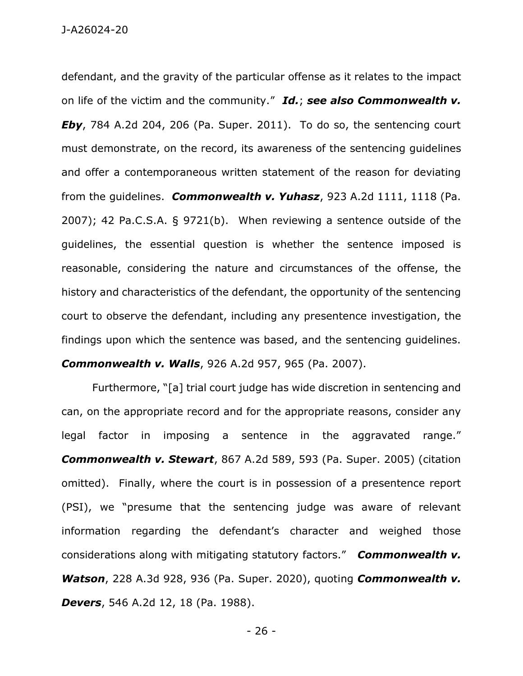defendant, and the gravity of the particular offense as it relates to the impact on life of the victim and the community." *Id.*; *see also Commonwealth v. Eby*, 784 A.2d 204, 206 (Pa. Super. 2011). To do so, the sentencing court must demonstrate, on the record, its awareness of the sentencing guidelines and offer a contemporaneous written statement of the reason for deviating from the guidelines. *Commonwealth v. Yuhasz*, 923 A.2d 1111, 1118 (Pa. 2007); 42 Pa.C.S.A. § 9721(b). When reviewing a sentence outside of the guidelines, the essential question is whether the sentence imposed is reasonable, considering the nature and circumstances of the offense, the history and characteristics of the defendant, the opportunity of the sentencing court to observe the defendant, including any presentence investigation, the findings upon which the sentence was based, and the sentencing guidelines. *Commonwealth v. Walls*, 926 A.2d 957, 965 (Pa. 2007).

Furthermore, "[a] trial court judge has wide discretion in sentencing and can, on the appropriate record and for the appropriate reasons, consider any legal factor in imposing a sentence in the aggravated range." *Commonwealth v. Stewart*, 867 A.2d 589, 593 (Pa. Super. 2005) (citation omitted). Finally, where the court is in possession of a presentence report (PSI), we "presume that the sentencing judge was aware of relevant information regarding the defendant's character and weighed those considerations along with mitigating statutory factors." *Commonwealth v. Watson*, 228 A.3d 928, 936 (Pa. Super. 2020), quoting *Commonwealth v. Devers*, 546 A.2d 12, 18 (Pa. 1988).

- 26 -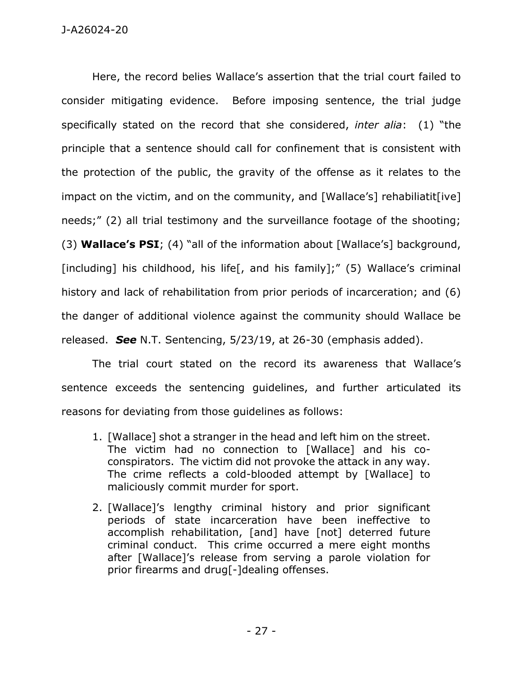Here, the record belies Wallace's assertion that the trial court failed to consider mitigating evidence. Before imposing sentence, the trial judge specifically stated on the record that she considered, *inter alia*: (1) "the principle that a sentence should call for confinement that is consistent with the protection of the public, the gravity of the offense as it relates to the impact on the victim, and on the community, and [Wallace's] rehabiliatit[ive] needs;" (2) all trial testimony and the surveillance footage of the shooting; (3) **Wallace's PSI**; (4) "all of the information about [Wallace's] background, [including] his childhood, his life<sup>[</sup>, and his family];" (5) Wallace's criminal history and lack of rehabilitation from prior periods of incarceration; and (6) the danger of additional violence against the community should Wallace be released. *See* N.T. Sentencing, 5/23/19, at 26-30 (emphasis added).

The trial court stated on the record its awareness that Wallace's sentence exceeds the sentencing guidelines, and further articulated its reasons for deviating from those guidelines as follows:

- 1. [Wallace] shot a stranger in the head and left him on the street. The victim had no connection to [Wallace] and his coconspirators. The victim did not provoke the attack in any way. The crime reflects a cold-blooded attempt by [Wallace] to maliciously commit murder for sport.
- 2. [Wallace]'s lengthy criminal history and prior significant periods of state incarceration have been ineffective to accomplish rehabilitation, [and] have [not] deterred future criminal conduct. This crime occurred a mere eight months after [Wallace]'s release from serving a parole violation for prior firearms and drug[-]dealing offenses.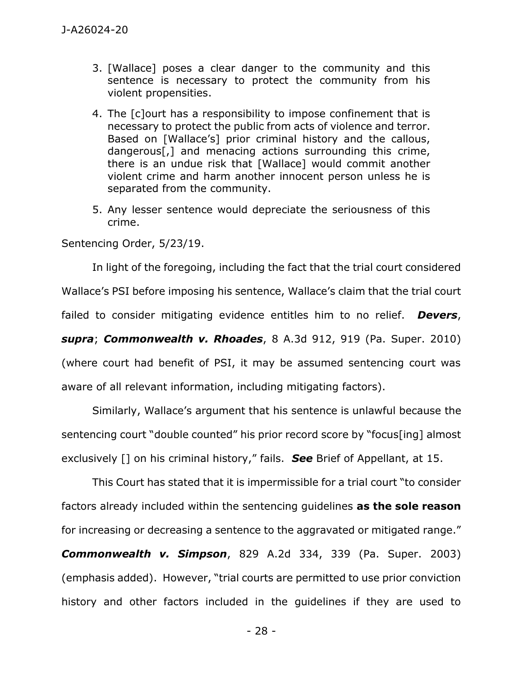- 3. [Wallace] poses a clear danger to the community and this sentence is necessary to protect the community from his violent propensities.
- 4. The [c]ourt has a responsibility to impose confinement that is necessary to protect the public from acts of violence and terror. Based on [Wallace's] prior criminal history and the callous, dangerous[,] and menacing actions surrounding this crime, there is an undue risk that [Wallace] would commit another violent crime and harm another innocent person unless he is separated from the community.
- 5. Any lesser sentence would depreciate the seriousness of this crime.

Sentencing Order, 5/23/19.

In light of the foregoing, including the fact that the trial court considered Wallace's PSI before imposing his sentence, Wallace's claim that the trial court failed to consider mitigating evidence entitles him to no relief. *Devers*, *supra*; *Commonwealth v. Rhoades*, 8 A.3d 912, 919 (Pa. Super. 2010) (where court had benefit of PSI, it may be assumed sentencing court was aware of all relevant information, including mitigating factors).

Similarly, Wallace's argument that his sentence is unlawful because the sentencing court "double counted" his prior record score by "focus[ing] almost exclusively [] on his criminal history," fails. *See* Brief of Appellant, at 15.

This Court has stated that it is impermissible for a trial court "to consider factors already included within the sentencing guidelines **as the sole reason**  for increasing or decreasing a sentence to the aggravated or mitigated range." *Commonwealth v. Simpson*, 829 A.2d 334, 339 (Pa. Super. 2003) (emphasis added). However, "trial courts are permitted to use prior conviction history and other factors included in the guidelines if they are used to